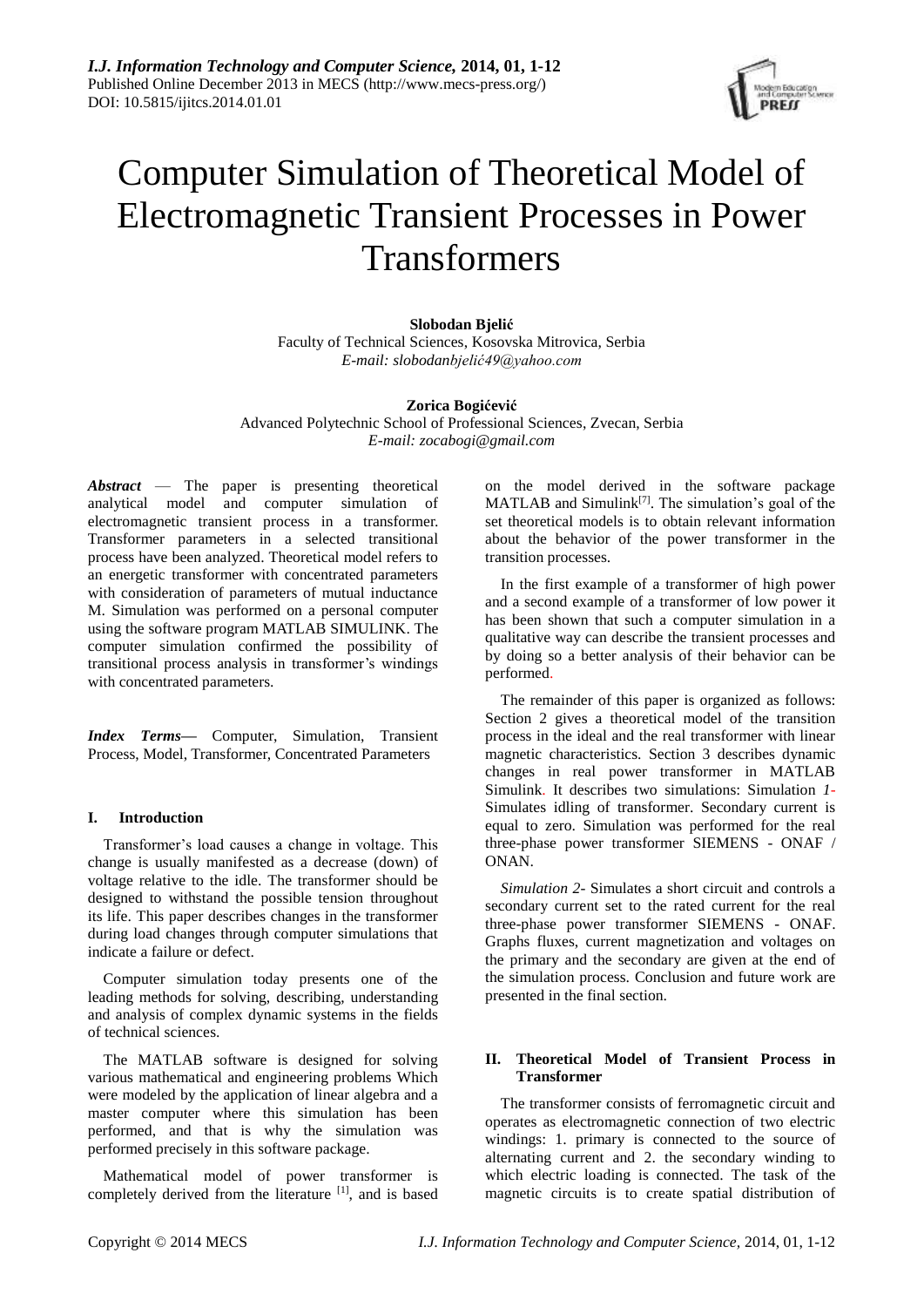

# Computer Simulation of Theoretical Model of Electromagnetic Transient Processes in Power Transformers

# **Slobodan Bjelić**

Faculty of Technical Sciences, Kosovska Mitrovica, Serbia *E-mail: slobodanbjelić49@yahoo.com*

## **Zorica Bogićević**

Advanced Polytechnic School of Professional Sciences, Zvecan, Serbia *E-mail: [zocabogi@gmail.com](mailto:zocabogi@gmail.com)*

*Abstract* — The paper is presenting theoretical analytical model and computer simulation of electromagnetic transient process in a transformer. Transformer parameters in a selected transitional process have been analyzed. Theoretical model refers to an energetic transformer with concentrated parameters with consideration of parameters of mutual inductance M. Simulation was performed on a personal computer using the software program MATLAB SIMULINK. The computer simulation confirmed the possibility of transitional process analysis in transformer's windings with concentrated parameters.

*Index Terms***—** Computer, Simulation, Transient Process, Model, Transformer, Concentrated Parameters

# **I. Introduction**

Transformer's load causes a change in voltage. This change is usually manifested as a decrease (down) of voltage relative to the idle. The transformer should be designed to withstand the possible tension throughout its life. This paper describes changes in the transformer during load changes through computer simulations that indicate a failure or defect.

Computer simulation today presents one of the leading methods for solving, describing, understanding and analysis of complex dynamic systems in the fields of technical sciences.

The MATLAB software is designed for solving various mathematical and engineering problems Which were modeled by the application of linear algebra and a master computer where this simulation has been performed, and that is why the simulation was performed precisely in this software package.

Mathematical model of power transformer is completely derived from the literature [1], and is based on the model derived in the software package  $MATLAB$  and  $Simulin k^{[7]}$ . The simulation's goal of the set theoretical models is to obtain relevant information about the behavior of the power transformer in the transition processes.

In the first example of a transformer of high power and a second example of a transformer of low power it has been shown that such a computer simulation in a qualitative way can describe the transient processes and by doing so a better analysis of their behavior can be performed.

The remainder of this paper is organized as follows: Section 2 gives a theoretical model of the transition process in the ideal and the real transformer with linear magnetic characteristics. Section 3 describes dynamic changes in real power transformer in MATLAB Simulink. It describes two simulations: Simulation *1*- Simulates idling of transformer. Secondary current is equal to zero. Simulation was performed for the real three-phase power transformer SIEMENS - ONAF / **ONAN** 

*Simulation 2*- Simulates a short circuit and controls a secondary current set to the rated current for the real three-phase power transformer SIEMENS - ONAF. Graphs fluxes, current magnetization and voltages on the primary and the secondary are given at the end of the simulation process. Conclusion and future work are presented in the final section.

# **II. Theoretical Model of Transient Process in Transformer**

The transformer consists of ferromagnetic circuit and operates as electromagnetic connection of two electric windings: 1. primary is connected to the source of alternating current and 2. the secondary winding to which electric loading is connected. The task of the magnetic circuits is to create spatial distribution of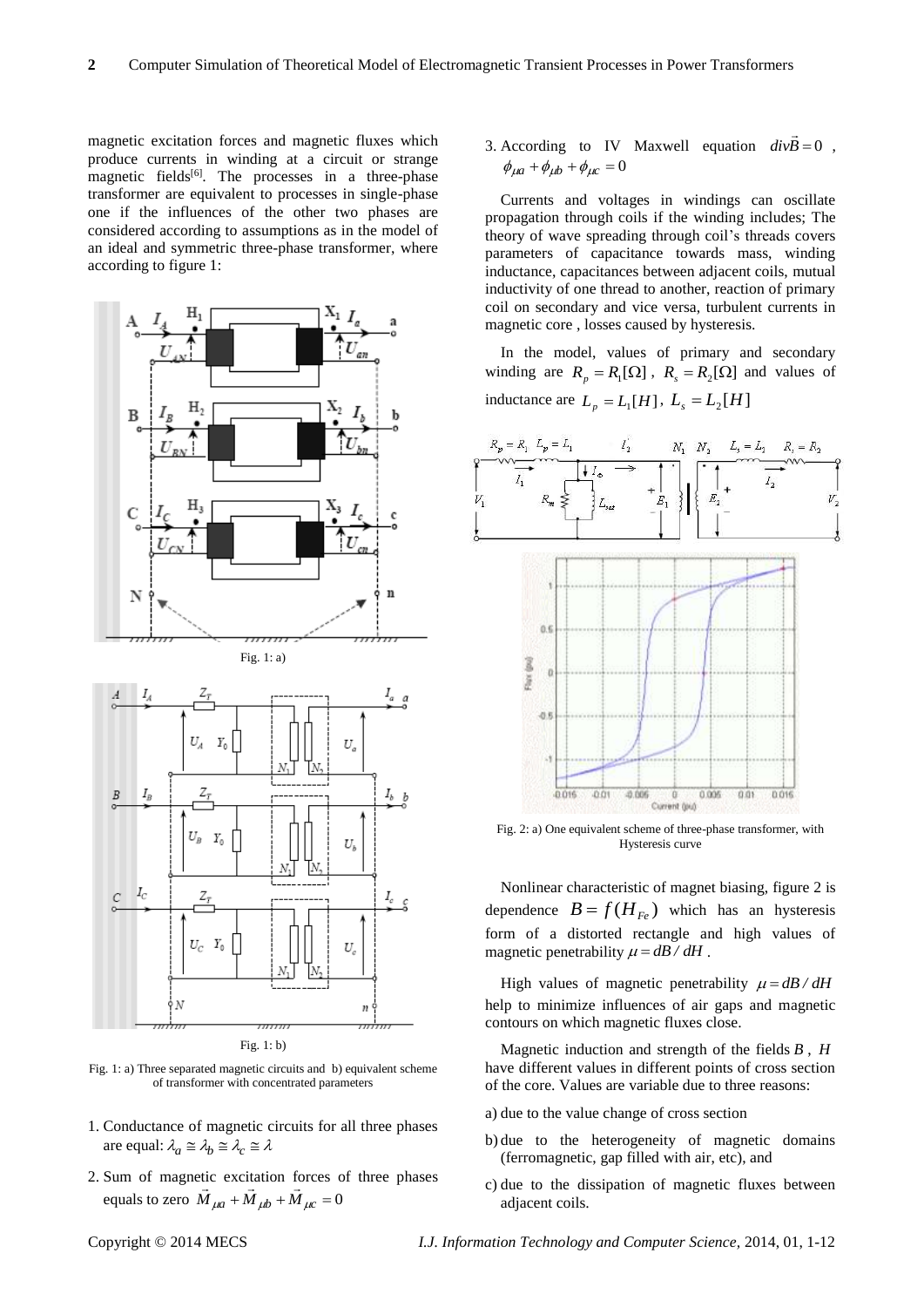magnetic excitation forces and magnetic fluxes which produce currents in winding at a circuit or strange magnetic fields<sup>[6]</sup>. The processes in a three-phase transformer are equivalent to processes in single-phase one if the influences of the other two phases are considered according to assumptions as in the model of an ideal and symmetric three-phase transformer, where according to figure 1:



Fig. 1: b)

Fig. 1: a) Three separated magnetic circuits and b) equivalent scheme of transformer with concentrated parameters

- 1. Conductance of magnetic circuits for all three phases are equal:  $\lambda_a \cong \lambda_b \cong \lambda_c \cong \lambda$
- 2. Sum of magnetic excitation forces of three phases equals to zero  $M_{\mu a} + M_{\mu b} + M_{\mu c} = 0$

3. According to IV Maxwell equation  $divB = 0$  $\overline{a}$ ,  $\phi_{\mu a} + \phi_{\mu b} + \phi_{\mu c} = 0$ 

Currents and voltages in windings can oscillate propagation through coils if the winding includes; The theory of wave spreading through coil's threads covers parameters of capacitance towards mass, winding inductance, capacitances between adjacent coils, mutual inductivity of one thread to another, reaction of primary coil on secondary and vice versa, turbulent currents in magnetic core , losses caused by hysteresis.

In the model, values of primary and secondary winding are  $R_p = R_1[\Omega]$ ,  $R_s = R_2[\Omega]$  and values of inductance are  $L_p = L_1[H]$ ,  $L_s = L_2[H]$ 



Fig. 2: a) One equivalent scheme of three-phase transformer, with Hysteresis curve

Nonlinear characteristic of magnet biasing, figure 2 is dependence  $B = f(H_{Fe})$  which has an hysteresis form of a distorted rectangle and high values of magnetic penetrability  $\mu = dB / dH$ .

High values of magnetic penetrability  $\mu = dB / dH$ help to minimize influences of air gaps and magnetic contours on which magnetic fluxes close.

Magnetic induction and strength of the fields *B* , *H* have different values in different points of cross section of the core. Values are variable due to three reasons:

- a) due to the value change of cross section
- b) due to the heterogeneity of magnetic domains (ferromagnetic, gap filled with air, etc), and
- c) due to the dissipation of magnetic fluxes between adjacent coils.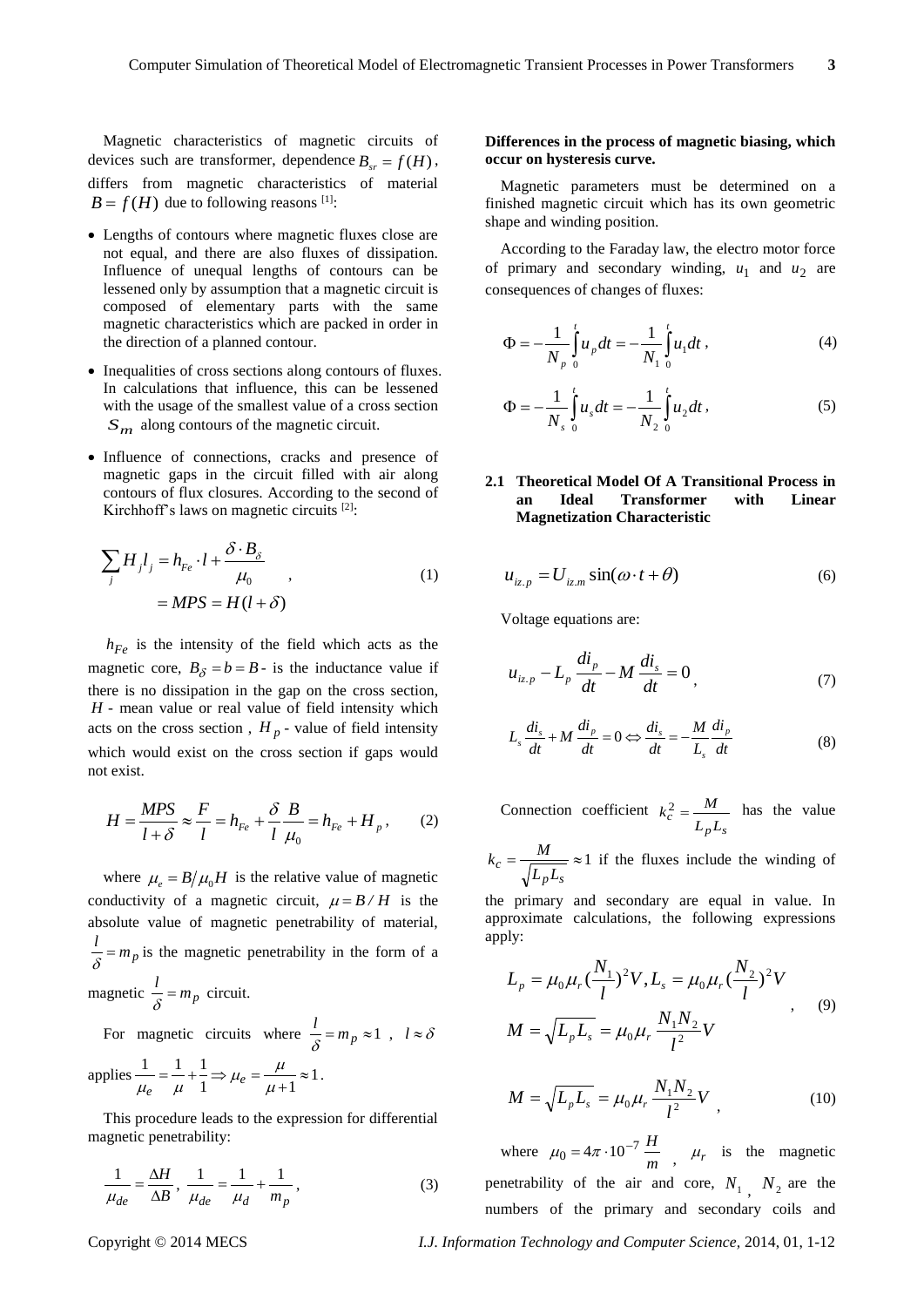Magnetic characteristics of magnetic circuits of devices such are transformer, dependence  $B_{sr} = f(H)$ , differs from magnetic characteristics of material  $B = f(H)$  due to following reasons <sup>[1]</sup>:

- Lengths of contours where magnetic fluxes close are not equal, and there are also fluxes of dissipation. Influence of unequal lengths of contours can be lessened only by assumption that a magnetic circuit is composed of elementary parts with the same magnetic characteristics which are packed in order in the direction of a planned contour.
- Inequalities of cross sections along contours of fluxes. In calculations that influence, this can be lessened with the usage of the smallest value of a cross section  $S_m$  along contours of the magnetic circuit.
- Influence of connections, cracks and presence of magnetic gaps in the circuit filled with air along contours of flux closures. According to the second of Kirchhoff's laws on magnetic circuits [2]:

$$
\sum_{j} H_{j} l_{j} = h_{Fe} \cdot l + \frac{\delta \cdot B_{\delta}}{\mu_{0}} ,
$$
  
= 
$$
MPS = H(l + \delta)
$$
 (1)

*hFe* is the intensity of the field which acts as the magnetic core,  $B_{\delta} = b = B$  - is the inductance value if there is no dissipation in the gap on the cross section, *H* - mean value or real value of field intensity which acts on the cross section,  $H_p$  - value of field intensity which would exist on the cross section if gaps would not exist.

$$
H = \frac{MPS}{l + \delta} \approx \frac{F}{l} = h_{Fe} + \frac{\delta}{l} \frac{B}{\mu_0} = h_{Fe} + H_p, \qquad (2)
$$

where  $\mu_e = B/\mu_0 H$  is the relative value of magnetic conductivity of a magnetic circuit,  $\mu = B/H$  is the absolute value of magnetic penetrability of material,  $\frac{l}{\delta} = m_p$  is the magnetic penetrability in the form of a magnetic  $\frac{l}{\delta} = m_p$  circuit.

For magnetic circuits where  $\frac{l}{s} = m_p \approx 1$  $\frac{\hbar}{\delta} = m_p \approx 1$ ,  $l \approx \delta$ 

applies 
$$
\frac{1}{\mu_e} = \frac{1}{\mu} + \frac{1}{1} \Rightarrow \mu_e = \frac{\mu}{\mu + 1} \approx 1
$$
.

This procedure leads to the expression for differential magnetic penetrability:

$$
\frac{1}{\mu_{de}} = \frac{\Delta H}{\Delta B}, \quad \frac{1}{\mu_{de}} = \frac{1}{\mu_d} + \frac{1}{m_p},
$$
\n<sup>(3)</sup>

### **Differences in the process of magnetic biasing, which occur on hysteresis curve.**

Magnetic parameters must be determined on a finished magnetic circuit which has its own geometric shape and winding position.

According to the Faraday law, the electro motor force of primary and secondary winding,  $u_1$  and  $u_2$  are consequences of changes of fluxes:

$$
\Phi = -\frac{1}{N_p} \int_{0}^{t} u_p dt = -\frac{1}{N_1} \int_{0}^{t} u_1 dt , \qquad (4)
$$

$$
\Phi = -\frac{1}{N_s} \int_0^t u_s dt = -\frac{1}{N_2} \int_0^t u_2 dt , \qquad (5)
$$

# **2.1 Theoretical Model Of A Transitional Process in an Ideal Transformer with Linear Magnetization Characteristic**

$$
u_{iz.p} = U_{iz.m} \sin(\omega \cdot t + \theta) \tag{6}
$$

Voltage equations are:

$$
u_{iz.p} - L_p \frac{di_p}{dt} - M \frac{di_s}{dt} = 0,
$$
 (7)

$$
L_s \frac{di_s}{dt} + M \frac{di_p}{dt} = 0 \Leftrightarrow \frac{di_s}{dt} = -\frac{M}{L_s} \frac{di_p}{dt}
$$
 (8)

Connection coefficient  $p^Ls$  $c = \frac{L_p L}{L_p L}$  $k_c^2 = \frac{M}{m}$  has the value

 $=\frac{m}{\sqrt{1-\epsilon}}\approx 1$  $p^Ls$  $c = \frac{L}{\sqrt{L_n L}}$  $k_c = \frac{M}{\sqrt{m}} \approx 1$  if the fluxes include the winding of

the primary and secondary are equal in value. In approximate calculations, the following expressions apply:

$$
L_p = \mu_0 \mu_r \left(\frac{N_1}{l}\right)^2 V, L_s = \mu_0 \mu_r \left(\frac{N_2}{l}\right)^2 V
$$
  

$$
M = \sqrt{L_p L_s} = \mu_0 \mu_r \frac{N_1 N_2}{l^2} V
$$
 (9)

$$
M = \sqrt{L_p L_s} = \mu_0 \mu_r \frac{N_1 N_2}{l^2} V \tag{10}
$$

where  $\mu_0 = 4\pi \cdot 10^{-7} \frac{H}{m}$  $\mu_0 = 4\pi \cdot 10^{-7} \frac{H}{m}$ ,  $\mu_r$  is the magnetic penetrability of the air and core,  $N_1$ ,  $N_2$  are the numbers of the primary and secondary coils and

Copyright © 2014 MECS *I.J. Information Technology and Computer Science,* 2014, 01, 1-12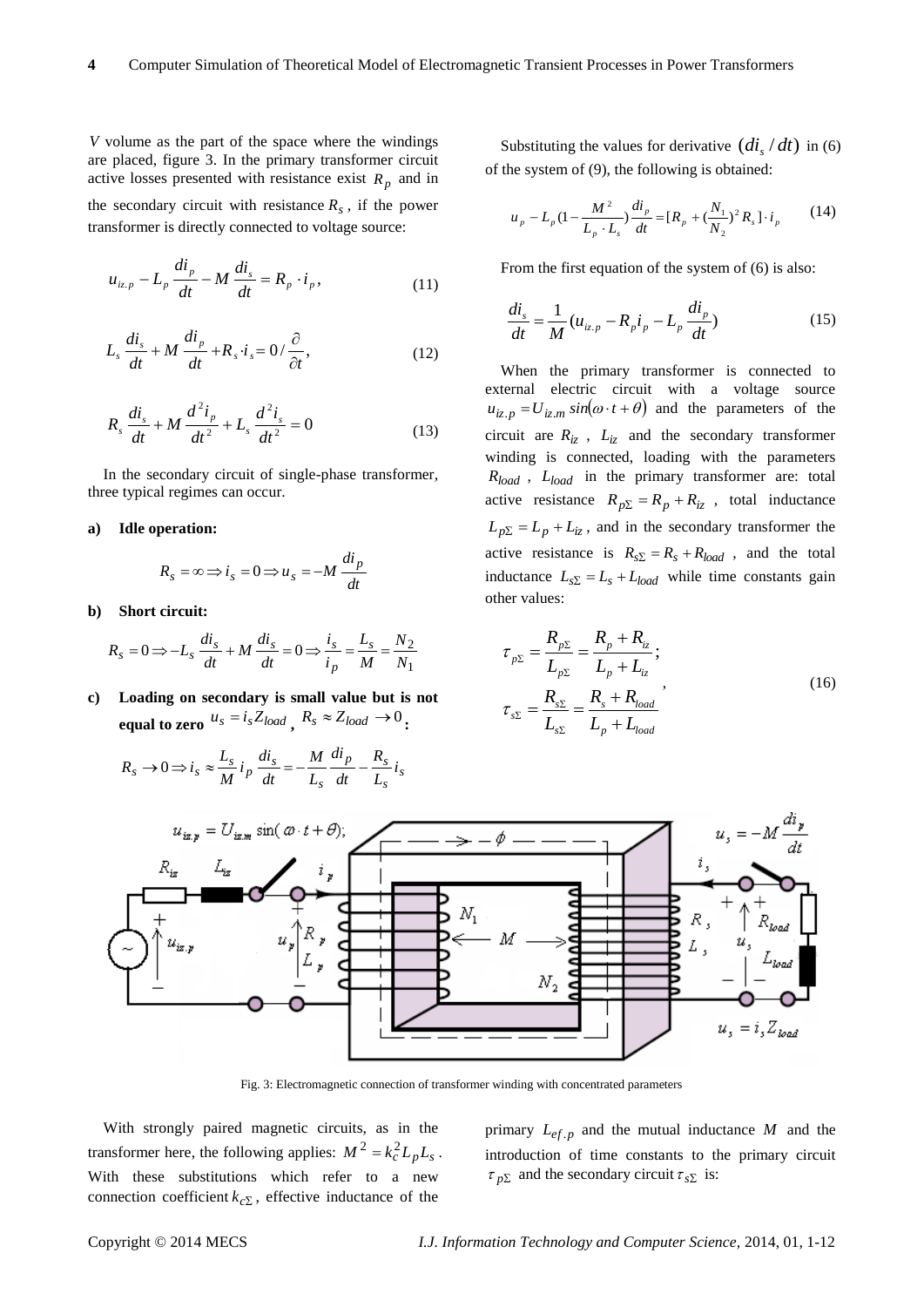$V$  volume as the part of the space where the windings are placed, figure 3. In the primary transformer circuit active losses presented with resistance exist  $R_p$  and in the secondary circuit with resistance  $R_s$ , if the power transformer is directly connected to voltage source:

$$
u_{iz,p} - L_p \frac{di_p}{dt} - M \frac{di_s}{dt} = R_p \cdot i_p, \qquad (11)
$$

$$
L_s \frac{di_s}{dt} + M \frac{di_p}{dt} + R_s \cdot i_s = 0 / \frac{\partial}{\partial t},
$$
\n(12)

$$
R_s \frac{di_s}{dt} + M \frac{d^2 i_p}{dt^2} + L_s \frac{d^2 i_s}{dt^2} = 0
$$
 (13)

In the secondary circuit of single-phase transformer, three typical regimes can occur.

#### **a) Idle operation:**

$$
R_s = \infty \Longrightarrow i_s = 0 \Longrightarrow u_s = -M \, \frac{di_p}{dt}
$$

**b) Short circuit:**

$$
R_s = 0 \Longrightarrow -L_s \frac{di_s}{dt} + M \frac{di_s}{dt} = 0 \Longrightarrow \frac{i_s}{i_p} = \frac{L_s}{M} = \frac{N_2}{N_1}
$$

**c) Loading on secondary is small value but is not equal to zero**  $u_s = i_s Z_{load}$  ,  $R_s \approx Z_{load} \rightarrow 0$  :

$$
R_s \to 0 \Longrightarrow i_s \approx \frac{L_s}{M} i_p \frac{di_s}{dt} = -\frac{M}{L_s} \frac{di_p}{dt} - \frac{R_s}{L_s} i_s
$$

Substituting the values for derivative  $\left(\frac{di_s}{dt}\right)$  in (6) of the system of (9), the following is obtained:

$$
u_p - L_p (1 - \frac{M^2}{L_p \cdot L_s}) \frac{di_p}{dt} = [R_p + (\frac{N_1}{N_2})^2 R_s] \cdot i_p \tag{14}
$$

From the first equation of the system of (6) is also:

$$
\frac{di_s}{dt} = \frac{1}{M} (u_{iz.p} - R_p i_p - L_p \frac{di_p}{dt})
$$
\n(15)

When the primary transformer is connected to external electric circuit with a voltage source  $u_{iz,p} = U_{iz,m} \sin(\omega \cdot t + \theta)$  and the parameters of the circuit are  $R_{iz}$ ,  $L_{iz}$  and the secondary transformer winding is connected, loading with the parameters *Rload* , *Lload* in the primary transformer are: total active resistance  $R_{p\Sigma} = R_p + R_{iz}$ , total inductance  $L_{p\Sigma} = L_p + L_{iz}$ , and in the secondary transformer the active resistance is  $R_{s\Sigma} = R_s + R_{load}$ , and the total inductance  $L_{s\sum} = L_s + L_{load}$  while time constants gain other values:

$$
\tau_{p\Sigma} = \frac{R_{p\Sigma}}{L_{p\Sigma}} = \frac{R_p + R_{iz}}{L_p + L_{iz}}; \n\tau_{s\Sigma} = \frac{R_{s\Sigma}}{L_{s\Sigma}} = \frac{R_s + R_{load}}{L_p + L_{load}},
$$
\n(16)



Fig. 3: Electromagnetic connection of transformer winding with concentrated parameters

With strongly paired magnetic circuits, as in the transformer here, the following applies:  $M^2 = k_c^2 L_p L_s$ . With these substitutions which refer to a new connection coefficient  $k_{c\Sigma}$ , effective inductance of the

primary  $L_{ef,p}$  and the mutual inductance M and the introduction of time constants to the primary circuit  $\tau_{p\sum}$  and the secondary circuit  $\tau_{s\sum}$  is: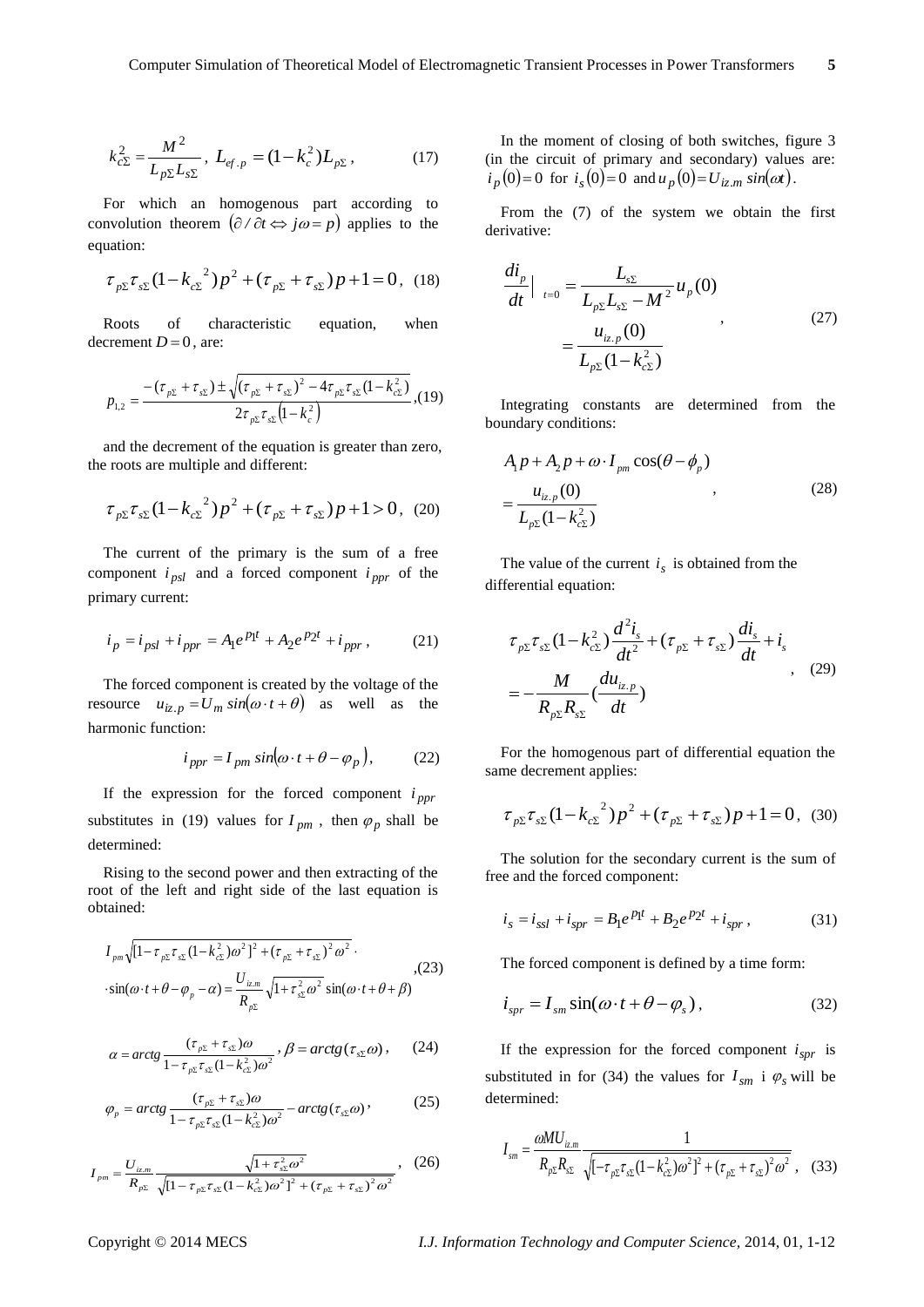$$
k_{c\Sigma}^2 = \frac{M^2}{L_{p\Sigma}L_{s\Sigma}}, \ L_{ef.p} = (1 - k_c^2)L_{p\Sigma}, \tag{17}
$$

For which an homogenous part according to convolution theorem  $(\partial/\partial t \Leftrightarrow j\omega = p)$  applies to the equation:

$$
\tau_{p\Sigma}\tau_{s\Sigma}(1-k_{c\Sigma}^2)p^2+(\tau_{p\Sigma}+\tau_{s\Sigma})p+1=0, (18)
$$

Roots of characteristic equation, when decrement  $D=0$ , are:

$$
p_{1,2} = \frac{-(\tau_{p\Sigma} + \tau_{s\Sigma}) \pm \sqrt{(\tau_{p\Sigma} + \tau_{s\Sigma})^2 - 4\tau_{p\Sigma}\tau_{s\Sigma}(1 - k_{c\Sigma}^2)}}{2\tau_{p\Sigma}\tau_{s\Sigma}(1 - k_c^2)},
$$
(19)

and the decrement of the equation is greater than zero, the roots are multiple and different:

$$
\tau_{p\Sigma}\tau_{s\Sigma}(1-k_{c\Sigma}^2)p^2+(\tau_{p\Sigma}+\tau_{s\Sigma})p+1>0, (20)
$$

The current of the primary is the sum of a free component  $i_{psl}$  and a forced component  $i_{ppr}$  of the primary current:

$$
i_p = i_{psl} + i_{ppr} = A_1 e^{p_1 t} + A_2 e^{p_2 t} + i_{ppr},
$$
 (21)

The forced component is created by the voltage of the resource  $u_{iz. p} = U_m \sin(\omega \cdot t + \theta)$  as well as the harmonic function:

$$
i_{ppr} = I_{pm} \sin(\omega \cdot t + \theta - \varphi_p), \qquad (22)
$$

If the expression for the forced component  $i_{ppr}$ substitutes in (19) values for  $I_{pm}$ , then  $\varphi_p$  shall be determined:

Rising to the second power and then extracting of the root of the left and right side of the last equation is obtained:

$$
I_{pm}\sqrt{[1-\tau_{p\Sigma}\tau_{s\Sigma}(1-k_{c\Sigma}^2)\omega^2]^2+(\tau_{p\Sigma}+\tau_{s\Sigma})^2\omega^2}.
$$
  
.
$$
\sin(\omega \cdot t+\theta-\varphi_p-\alpha) = \frac{U_{iz,m}}{R_{p\Sigma}}\sqrt{1+\tau_{s\Sigma}^2\omega^2}\sin(\omega \cdot t+\theta+\beta)
$$
 (23)

$$
\alpha = \arctg \frac{(\tau_{p\Sigma} + \tau_{s\Sigma})\omega}{1 - \tau_{p\Sigma}\tau_{s\Sigma}(1 - k_{c\Sigma}^2)\omega^2}, \beta = \arctg(\tau_{s\Sigma}\omega), \qquad (24)
$$

$$
\varphi_p = \arctg \frac{(\tau_{p\Sigma} + \tau_{s\Sigma})\omega}{1 - \tau_{p\Sigma}\tau_{s\Sigma}(1 - k_{cs}^2)\omega^2} - \arctg(\tau_{s\Sigma}\omega),
$$
(25)

$$
I_{pm} = \frac{U_{iz,m}}{R_{p\Sigma}} \frac{\sqrt{1 + \tau_{s\Sigma}^2 \omega^2}}{\sqrt{[1 - \tau_{p\Sigma} \tau_{s\Sigma} (1 - k_{c\Sigma}^2) \omega^2]^2 + (\tau_{p\Sigma} + \tau_{s\Sigma})^2 \omega^2}},
$$
 (26)

In the moment of closing of both switches, figure 3 (in the circuit of primary and secondary) values are:  $i_p(0) = 0$  for  $i_s(0) = 0$  and  $u_p(0) = U_{iz,m} \sin(\omega t)$ .

From the (7) of the system we obtain the first derivative:

$$
\frac{di_p}{dt}\Big|_{t=0} = \frac{L_{s\Sigma}}{L_{p\Sigma}L_{s\Sigma} - M^2}u_p(0)
$$

$$
= \frac{u_{iz,p}(0)}{L_{p\Sigma}(1 - k_{c\Sigma}^2)},
$$
(27)

Integrating constants are determined from the boundary conditions:

$$
A_1 p + A_2 p + \omega \cdot I_{pm} \cos(\theta - \phi_p)
$$
  
= 
$$
\frac{u_{iz,p}(0)}{L_{p\Sigma}(1 - k_{c\Sigma}^2)}
$$
 (28)

The value of the current  $i<sub>s</sub>$  is obtained from the differential equation:

$$
\tau_{p\Sigma}\tau_{s\Sigma}(1-k_{c\Sigma}^2)\frac{d^2i_s}{dt^2}+(\tau_{p\Sigma}+\tau_{s\Sigma})\frac{di_s}{dt}+i_s
$$
  
=-\frac{M}{R\_{p\Sigma}R\_{s\Sigma}}(\frac{du\_{iz,p}}{dt}) (29)

For the homogenous part of differential equation the same decrement applies:

$$
\tau_{p\Sigma}\tau_{s\Sigma}(1-k_{c\Sigma}^2)p^2+(\tau_{p\Sigma}+\tau_{s\Sigma})p+1=0, (30)
$$

The solution for the secondary current is the sum of free and the forced component:

$$
i_s = i_{ssl} + i_{spr} = B_1 e^{P_1 t} + B_2 e^{P_2 t} + i_{spr},
$$
 (31)

The forced component is defined by a time form:

$$
i_{spr} = I_{sm} \sin(\omega \cdot t + \theta - \varphi_s), \qquad (32)
$$

If the expression for the forced component  $i_{spr}$  is substituted in for (34) the values for  $I_{sm}$  i  $\varphi_s$  will be determined:

$$
I_{\rm sm} = \frac{\omega M U_{\rm i,m}}{R_{p\Sigma} R_{\rm s\Sigma}} \frac{1}{\sqrt{\left[-\tau_{p\Sigma}\tau_{\rm s\Sigma} (1 - k_{\rm c\Sigma}^2)\omega^2\right]^2 + \left(\tau_{p\Sigma} + \tau_{\rm s\Sigma}\right)^2 \omega^2}} \,, \quad (33)
$$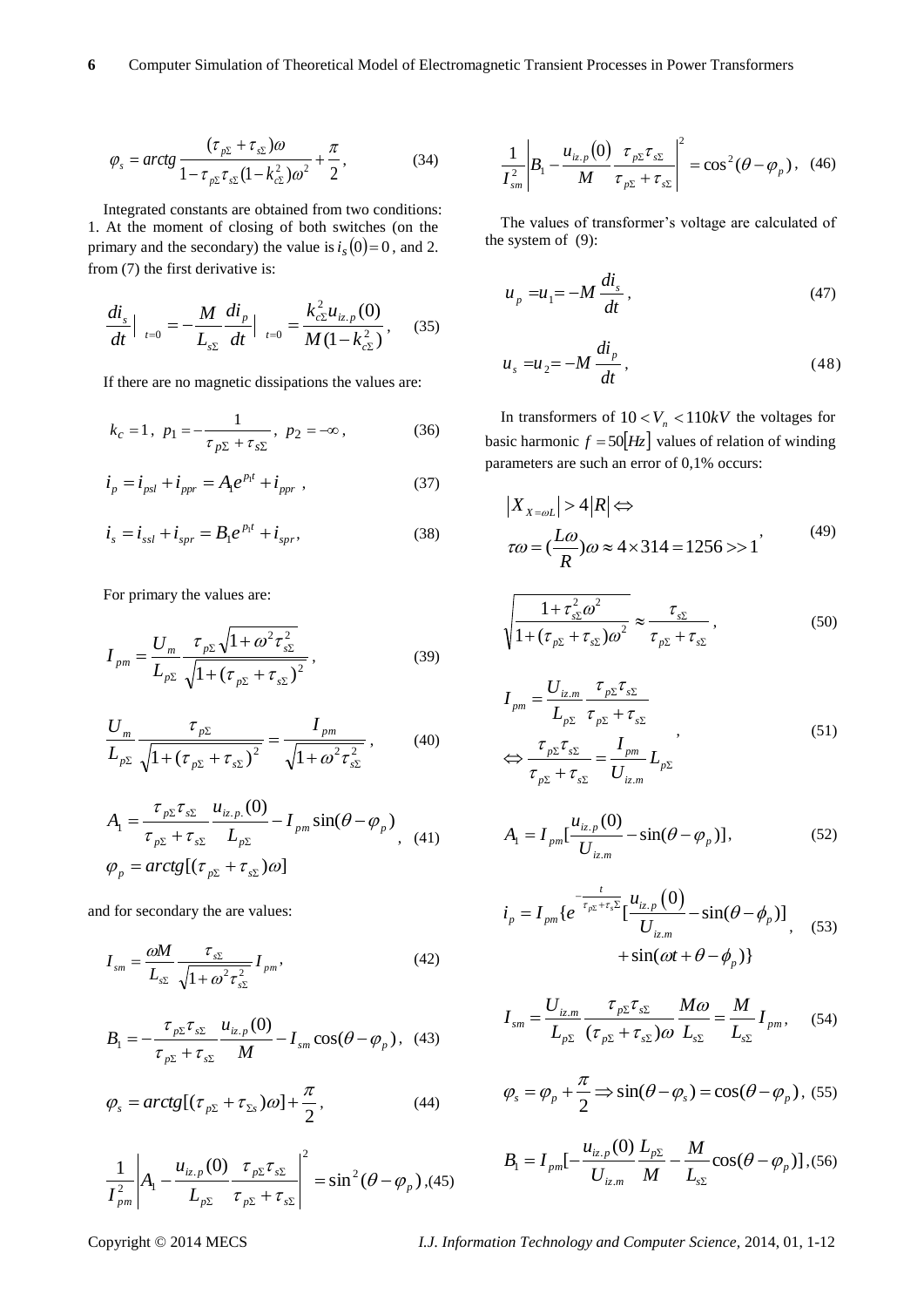$$
\varphi_s = \arctg \frac{(\tau_{p\Sigma} + \tau_{s\Sigma})\omega}{1 - \tau_{p\Sigma}\tau_{s\Sigma}(1 - k_{c\Sigma}^2)\omega^2} + \frac{\pi}{2},\tag{34}
$$

Integrated constants are obtained from two conditions: 1. At the moment of closing of both switches (on the primary and the secondary) the value is  $i_s(0)=0$ , and 2. from (7) the first derivative is:

$$
\frac{di_s}{dt}\Big|_{t=0} = -\frac{M}{L_{s\Sigma}}\frac{di_p}{dt}\Big|_{t=0} = \frac{k_{c\Sigma}^2 u_{iz,p}(0)}{M(1-k_{c\Sigma}^2)},\quad (35)
$$

If there are no magnetic dissipations the values are:

$$
k_c = 1
$$
,  $p_1 = -\frac{1}{\tau_{p\Sigma} + \tau_{s\Sigma}}$ ,  $p_2 = -\infty$ , (36)

$$
i_p = i_{psl} + i_{ppr} = A_1 e^{p_1 t} + i_{ppr} , \qquad (37)
$$

$$
\dot{i}_s = \dot{i}_{ssl} + \dot{i}_{spr} = B_1 e^{p_1 t} + \dot{i}_{spr},
$$
\n(38)

For primary the values are:

$$
I_{pm} = \frac{U_m}{L_{p\Sigma}} \frac{\tau_{p\Sigma} \sqrt{1 + \omega^2 \tau_{s\Sigma}^2}}{\sqrt{1 + (\tau_{p\Sigma} + \tau_{s\Sigma})^2}},
$$
(39)

$$
\frac{U_m}{L_{p\Sigma}} \frac{\tau_{p\Sigma}}{\sqrt{1 + (\tau_{p\Sigma} + \tau_{s\Sigma})^2}} = \frac{I_{pm}}{\sqrt{1 + \omega^2 \tau_{s\Sigma}^2}},
$$
(40)

$$
A_1 = \frac{\tau_{p\Sigma}\tau_{s\Sigma}}{\tau_{p\Sigma} + \tau_{s\Sigma}} \frac{u_{iz,p.}(0)}{L_{p\Sigma}} - I_{pm} \sin(\theta - \varphi_p)
$$
  
\n
$$
\varphi_p = arctg[(\tau_{p\Sigma} + \tau_{s\Sigma})\omega]
$$
 (41)

and for secondary the are values:

$$
I_{\scriptscriptstyle sm} = \frac{\omega M}{L_{\scriptscriptstyle s\Sigma}} \frac{\tau_{\scriptscriptstyle s\Sigma}}{\sqrt{1 + \omega^2 \tau_{\scriptscriptstyle s\Sigma}^2}} I_{\scriptscriptstyle pm},\tag{42}
$$

$$
B_1 = -\frac{\tau_{p\Sigma}\tau_{s\Sigma}}{\tau_{p\Sigma} + \tau_{s\Sigma}} \frac{u_{iz,p}(0)}{M} - I_{sm}\cos(\theta - \varphi_p), \quad (43)
$$

$$
\varphi_{s} = arctg[(\tau_{p\Sigma} + \tau_{\Sigma s})\omega] + \frac{\pi}{2}, \qquad (44)
$$

$$
\frac{1}{I_{pm}^{2}} \left| A_{1} - \frac{u_{iz,p}(0)}{L_{p\Sigma}} \frac{\tau_{p\Sigma} \tau_{s\Sigma}}{\tau_{p\Sigma} + \tau_{s\Sigma}} \right|^{2} = \sin^{2}(\theta - \varphi_{p}) , (45)
$$

$$
\frac{1}{I_{sm}^2}\left|B_1 - \frac{u_{iz,p}(0)}{M} \frac{\tau_{p\Sigma}\tau_{s\Sigma}}{\tau_{p\Sigma} + \tau_{s\Sigma}}\right|^2 = \cos^2(\theta - \varphi_p), \quad (46)
$$

The values of transformer's voltage are calculated of the system of (9):

$$
u_p = u_1 = -M \frac{di_s}{dt},
$$
\t(47)

$$
u_s = u_2 = -M \frac{di_p}{dt},
$$
\t(48)

In transformers of  $10 < V_n < 110kV$  the voltages for basic harmonic  $f = 50 \left[ Hz \right]$  values of relation of winding parameters are such an error of 0,1% occurs:

$$
|X_{X=\omega L}| > 4|R| \Leftrightarrow
$$
  
\n
$$
\tau \omega = (\frac{L\omega}{R})\omega \approx 4 \times 314 = 1256 >> 1
$$
\n(49)

$$
\sqrt{\frac{1+\tau_{s\Sigma}^2 \omega^2}{1+(\tau_{p\Sigma}+\tau_{s\Sigma})\omega^2}} \approx \frac{\tau_{s\Sigma}}{\tau_{p\Sigma}+\tau_{s\Sigma}},
$$
\n(50)

$$
I_{pm} = \frac{U_{iz,m}}{L_{p\Sigma}} \frac{\tau_{p\Sigma} \tau_{s\Sigma}}{\tau_{p\Sigma} + \tau_{s\Sigma}}
$$
  
\n
$$
\Leftrightarrow \frac{\tau_{p\Sigma} \tau_{s\Sigma}}{\tau_{p\Sigma} + \tau_{s\Sigma}} = \frac{I_{pm}}{U_{iz,m}} L_{p\Sigma}
$$
\n(51)

$$
A_{1} = I_{pm} \left[ \frac{u_{iz,p}(0)}{U_{iz,m}} - \sin(\theta - \varphi_{p}) \right],
$$
 (52)

$$
i_p = I_{pm} \{ e^{-\frac{t}{\tau_{p\Sigma} + \tau_s \Sigma}} \left[ \frac{u_{iz,p}(0)}{U_{iz,m}} - \sin(\theta - \phi_p) \right] + \sin(\omega t + \theta - \phi_p) \}
$$
(53)

$$
I_{sm} = \frac{U_{i z.m}}{L_{p\Sigma}} \frac{\tau_{p\Sigma} \tau_{s\Sigma}}{(\tau_{p\Sigma} + \tau_{s\Sigma}) \omega} \frac{M \omega}{L_{s\Sigma}} = \frac{M}{L_{s\Sigma}} I_{pm}, \quad (54)
$$

$$
\varphi_s = \varphi_p + \frac{\pi}{2} \Longrightarrow \sin(\theta - \varphi_s) = \cos(\theta - \varphi_p),
$$
 (55)

$$
B_{1} = I_{pm} \left[ -\frac{u_{iz,p}(0)}{U_{iz,m}} \frac{L_{p\Sigma}}{M} - \frac{M}{L_{s\Sigma}} \cos(\theta - \varphi_{p}) \right], (56)
$$

Copyright © 2014 MECS *I.J. Information Technology and Computer Science,* 2014, 01, 1-12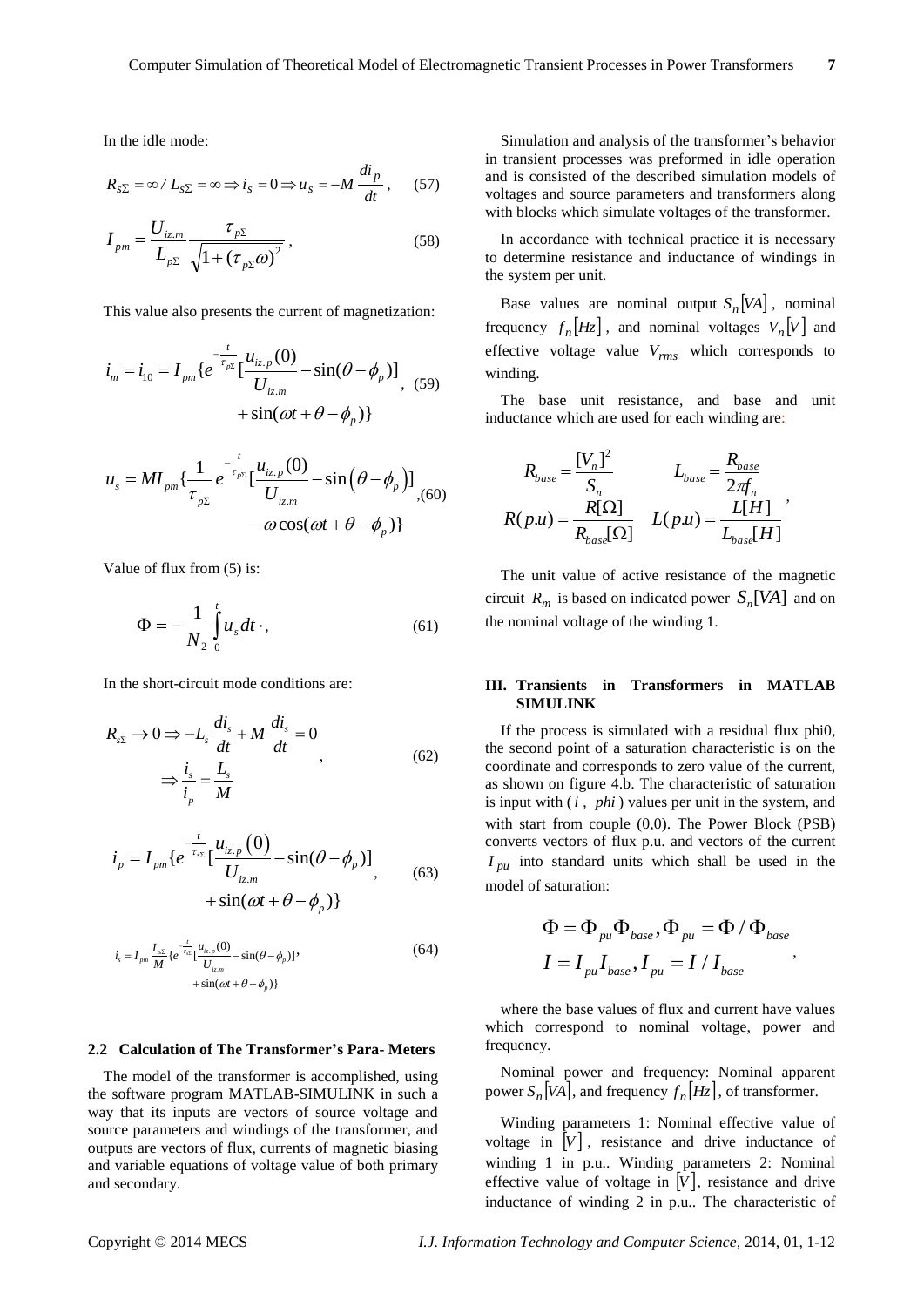In the idle mode:

$$
R_{s\Sigma} = \infty / L_{s\Sigma} = \infty \Longrightarrow i_s = 0 \Longrightarrow u_s = -M \frac{di_p}{dt}, \quad (57)
$$

$$
I_{pm} = \frac{U_{iz,m}}{L_{p\Sigma}} \frac{\tau_{p\Sigma}}{\sqrt{1 + (\tau_{p\Sigma}\omega)^2}},
$$
\n(58)

This value also presents the current of magnetization:

$$
i_m = i_{10} = I_{pm} \{ e^{-\frac{t}{\tau_{p\Sigma}}} \left[ \frac{u_{iz,p}(0)}{U_{iz,m}} - \sin(\theta - \phi_p) \right]_{+} \text{sin}(\omega t + \theta - \phi_p) \}
$$
 (59)

$$
u_{s} = MI_{pm} \{ \frac{1}{\tau_{p\Sigma}} e^{-\frac{t}{\tau_{p\Sigma}}} [\frac{u_{iz,p}(0)}{U_{iz,m}} - \sin(\theta - \phi_{p})] - \omega \cos(\omega t + \theta - \phi_{p}) \}
$$
(60)

Value of flux from (5) is:

$$
\Phi = -\frac{1}{N_2} \int_0^t u_s dt \cdot,\tag{61}
$$

In the short-circuit mode conditions are:

$$
R_{s\Sigma} \to 0 \Longrightarrow -L_s \frac{di_s}{dt} + M \frac{di_s}{dt} = 0
$$
  

$$
\Longrightarrow \frac{i_s}{i_p} = \frac{L_s}{M}
$$
 (62)

$$
i_p = I_{pm} \{ e^{-\frac{t}{\tau_{sE}}} [\frac{u_{iz,p}(0)}{U_{iz,m}} - \sin(\theta - \phi_p)] + \sin(\omega t + \theta - \phi_p) \}
$$
\n
$$
(63)
$$

$$
i_{s} = I_{pm} \frac{L_{ss}}{M} \{ e^{-\frac{t}{\tau_{ss}}} \left[ \frac{u_{iz,p}(0)}{U_{iz,m}} - \sin(\theta - \phi_{p}) \right] \}
$$
  
+ 
$$
\sin(\omega t + \theta - \phi_{p}) \}
$$
 (64)

#### **2.2 Calculation of The Transformer's Para- Meters**

The model of the transformer is accomplished, using the software program MATLAB-SIMULINK in such a way that its inputs are vectors of source voltage and source parameters and windings of the transformer, and outputs are vectors of flux, currents of magnetic biasing and variable equations of voltage value of both primary and secondary.

Simulation and analysis of the transformer's behavior in transient processes was preformed in idle operation and is consisted of the described simulation models of voltages and source parameters and transformers along with blocks which simulate voltages of the transformer.

In accordance with technical practice it is necessary to determine resistance and inductance of windings in the system per unit.

Base values are nominal output  $S_n[VA]$ , nominal frequency  $f_n[Hz]$ , and nominal voltages  $V_n[V]$  and effective voltage value *Vrms* which corresponds to winding.

The base unit resistance, and base and unit inductance which are used for each winding are:

$$
R_{base} = \frac{[V_n]^2}{S_n}
$$
  
\n
$$
R(p.u) = \frac{R[\Omega]}{R_{base}[\Omega]}
$$
  
\n
$$
L(p.u) = \frac{L[H]}{L_{base}[H]}
$$

The unit value of active resistance of the magnetic circuit  $R_m$  is based on indicated power  $S_n[VA]$  and on the nominal voltage of the winding 1.

## **III. Transients in Transformers in MATLAB SIMULINK**

If the process is simulated with a residual flux phi0, the second point of a saturation characteristic is on the coordinate and corresponds to zero value of the current, as shown on figure 4.b. The characteristic of saturation is input with ( *i* , *phi* ) values per unit in the system, and with start from couple (0,0). The Power Block (PSB) converts vectors of flux p.u. and vectors of the current  $I_{pu}$  into standard units which shall be used in the model of saturation:

$$
\Phi = \Phi_{pu} \Phi_{base}, \Phi_{pu} = \Phi / \Phi_{base}
$$
  

$$
I = I_{pu} I_{base}, I_{pu} = I / I_{base}
$$

,

where the base values of flux and current have values which correspond to nominal voltage, power and frequency.

Nominal power and frequency: Nominal apparent power  $S_n[VA]$ , and frequency  $f_n[Hz]$ , of transformer.

Winding parameters 1: Nominal effective value of voltage in  $|V|$ , resistance and drive inductance of winding 1 in p.u.. Winding parameters 2: Nominal effective value of voltage in  $|V|$ , resistance and drive inductance of winding 2 in p.u.. The characteristic of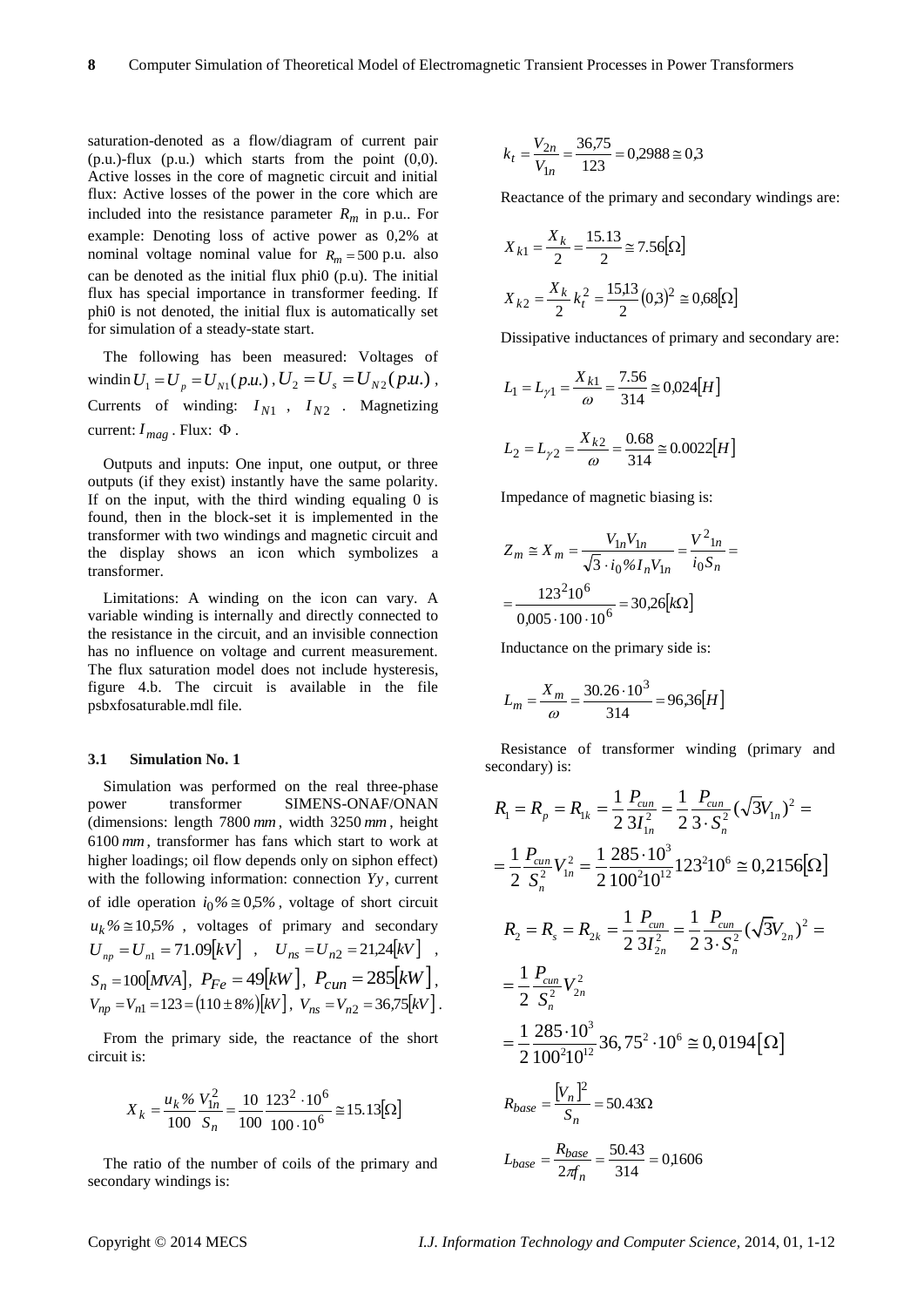saturation-denoted as a flow/diagram of current pair  $(p.u.)$ -flux  $(p.u.)$  which starts from the point  $(0,0).$ Active losses in the core of magnetic circuit and initial flux: Active losses of the power in the core which are included into the resistance parameter  $R_m$  in p.u.. For example: Denoting loss of active power as 0,2% at nominal voltage nominal value for  $R_m = 500$  p.u. also can be denoted as the initial flux phi0 (p.u). The initial flux has special importance in transformer feeding. If phi0 is not denoted, the initial flux is automatically set for simulation of a steady-state start.

The following has been measured: Voltages of windin  $U_1 = U_p = U_{N1}(p.u.)$ ,  $U_2 = U_s = U_{N2}(p.u.)$ , Currents of winding:  $I_{N1}$ ,  $I_{N2}$ . Magnetizing current:  $I_{mag}$ . Flux:  $\Phi$ .

Outputs and inputs: One input, one output, or three outputs (if they exist) instantly have the same polarity. If on the input, with the third winding equaling 0 is found, then in the block-set it is implemented in the transformer with two windings and magnetic circuit and the display shows an icon which symbolizes a transformer.

Limitations: A winding on the icon can vary. A variable winding is internally and directly connected to the resistance in the circuit, and an invisible connection has no influence on voltage and current measurement. The flux saturation model does not include hysteresis, figure 4.b. The circuit is available in the file psbxfosaturable.mdl file.

#### **3.1 Simulation No. 1**

Simulation was performed on the real three-phase power transformer SIMENS-ONAF/ONAN (dimensions: length 7800 *mm* , width 3250 *mm* , height 6100 *mm* , transformer has fans which start to work at higher loadings; oil flow depends only on siphon effect) with the following information: connection *Yy* , current of idle operation  $i_0\% \approx 0.5\%$ , voltage of short circuit  $u_k$ %  $\cong$  10*,5%*, voltages of primary and secondary  $U_{np} = U_{n1} = 71.09 [kV]$ ,  $U_{ns} = U_{n2} = 21.24 [kV]$ ,  $S_n = 100[MVA], P_{Fe} = 49[kW], P_{cum} = 285[kW],$  $V_{np} = V_{n1} = 123 = (110 \pm 8\%) [kV], V_{ns} = V_{n2} = 36,75 [kV].$ 

From the primary side, the reactance of the short circuit is:

$$
X_k = \frac{u_k\%}{100} \frac{V_{1n}^2}{S_n} = \frac{10}{100} \frac{123^2 \cdot 10^6}{100 \cdot 10^6} \approx 15.13 [\Omega]
$$

The ratio of the number of coils of the primary and secondary windings is:

$$
k_t = \frac{V_{2n}}{V_{1n}} = \frac{36,75}{123} = 0,2988 \approx 0,3
$$

Reactance of the primary and secondary windings are:

$$
X_{k1} = \frac{X_k}{2} = \frac{15.13}{2} \approx 7.56[\Omega]
$$

$$
X_{k2} = \frac{X_k}{2}k_t^2 = \frac{15.13}{2}(0.3)^2 \approx 0.68[\Omega]
$$

Dissipative inductances of primary and secondary are:

$$
L_1 = L_{\gamma 1} = \frac{X_{k1}}{\omega} = \frac{7.56}{314} \approx 0.024[H]
$$

$$
L_2 = L_{\gamma 2} = \frac{X_{k2}}{\omega} = \frac{0.68}{314} \approx 0.0022[H]
$$

Impedance of magnetic biasing is:

$$
Z_m \cong X_m = \frac{V_{1n}V_{1n}}{\sqrt{3} \cdot i_0\% I_n V_{1n}} = \frac{V^2_{1n}}{i_0 S_n} = \frac{123^2 10^6}{0.005 \cdot 100 \cdot 10^6} = 30,26 [k\Omega]
$$

Inductance on the primary side is:

$$
L_m = \frac{X_m}{\omega} = \frac{30.26 \cdot 10^3}{314} = 96,36[H]
$$

Resistance of transformer winding (primary and secondary) is:

$$
R_1 = R_p = R_{1k} = \frac{1}{2} \frac{P_{cun}}{3I_{1n}^2} = \frac{1}{2} \frac{P_{cun}}{3 \cdot S_n^2} (\sqrt{3}V_{1n})^2 =
$$
\n
$$
= \frac{1}{2} \frac{P_{cun}}{S_n^2} V_{1n}^2 = \frac{1}{2} \frac{285 \cdot 10^3}{100^2 10^{12}} 123^2 10^6 \approx 0,2156 [\Omega]
$$
\n
$$
R_2 = R_s = R_{2k} = \frac{1}{2} \frac{P_{cun}}{3I_{2n}^2} = \frac{1}{2} \frac{P_{cun}}{3 \cdot S_n^2} (\sqrt{3}V_{2n})^2 =
$$
\n
$$
= \frac{1}{2} \frac{P_{cun}}{S_n^2} V_{2n}^2
$$
\n
$$
= \frac{1}{2} \frac{285 \cdot 10^3}{100^2 10^{12}} 36,75^2 \cdot 10^6 \approx 0,0194 [\Omega]
$$
\n
$$
R_{base} = \frac{[V_n]^2}{S_n} = 50.43 \Omega
$$
\n
$$
L_{base} = \frac{R_{base}}{2\pi n} = \frac{50.43}{314} = 0,1606
$$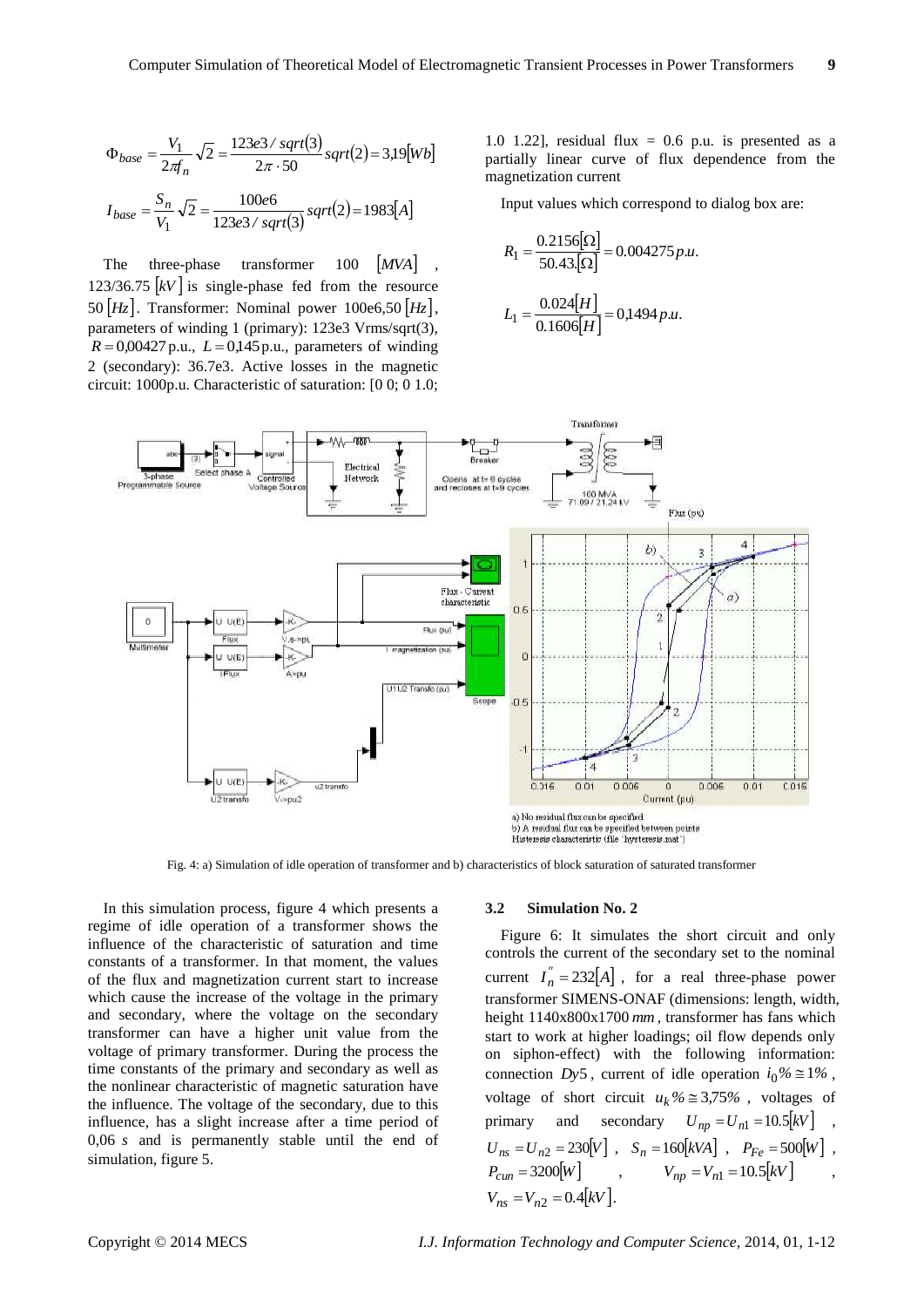$$
\Phi_{base} = \frac{V_1}{2\pi f_n} \sqrt{2} = \frac{123e^{3}/sqrt(3)}{2\pi \cdot 50} sqrt(2) = 3,19[Wb]
$$
  

$$
I_{base} = \frac{S_n}{V_1} \sqrt{2} = \frac{100e6}{123e^{3}/sqrt(3)} sqrt(2) = 1983[A]
$$

The three-phase transformer 100 [MVA], 123/36.75  $kV$  is single-phase fed from the resource 50 *Hz* . Transformer: Nominal power 100e6,50 *Hz*, parameters of winding 1 (primary): 123e3 Vrms/sqrt(3),  $R = 0.00427$  p.u.,  $L = 0.145$  p.u., parameters of winding 2 (secondary): 36.7e3. Active losses in the magnetic circuit: 1000p.u. Characteristic of saturation: [0 0; 0 1.0;

1.0 1.22], residual flux =  $0.6$  p.u. is presented as a partially linear curve of flux dependence from the magnetization current

Input values which correspond to dialog box are:

$$
R_1 = \frac{0.2156[\Omega]}{50.43[\Omega]} = 0.004275 p.u.
$$

$$
L_1 = \frac{0.024[H]}{0.1606[H]} = 0.1494 p.u.
$$



Fig. 4: a) Simulation of idle operation of transformer and b) characteristics of block saturation of saturated transformer

In this simulation process, figure 4 which presents a regime of idle operation of a transformer shows the influence of the characteristic of saturation and time constants of a transformer. In that moment, the values of the flux and magnetization current start to increase which cause the increase of the voltage in the primary and secondary, where the voltage on the secondary transformer can have a higher unit value from the voltage of primary transformer. During the process the time constants of the primary and secondary as well as the nonlinear characteristic of magnetic saturation have the influence. The voltage of the secondary, due to this influence, has a slight increase after a time period of 0,06 *s* and is permanently stable until the end of simulation, figure 5.

#### **3.2 Simulation No. 2**

Figure 6: It simulates the short circuit and only controls the current of the secondary set to the nominal current  $I_n^{\prime\prime} = 232[A]$ , for a real three-phase power transformer SIMENS-ONAF (dimensions: length, width, height 1140x800x1700 *mm* , transformer has fans which start to work at higher loadings; oil flow depends only on siphon-effect) with the following information: connection *Dy*<sup>5</sup>, current of idle operation  $i_0\% \approx 1\%$ , voltage of short circuit  $u_k\% \approx 3.75\%$ , voltages of primary and secondary  $U_{np} = U_{n1} = 10.5 \, kV$ ,  $U_{ns} = U_{n2} = 230[V]$ ,  $S_n = 160[kVA]$ ,  $P_{Fe} = 500[W]$ ,  $P_{\text{cum}} = 3200[W]$ ,  $V_{np} = V_{n1} = 10.5 [kV]$ ,  $V_{ns} = V_{n2} = 0.4 \, \text{kV}$ .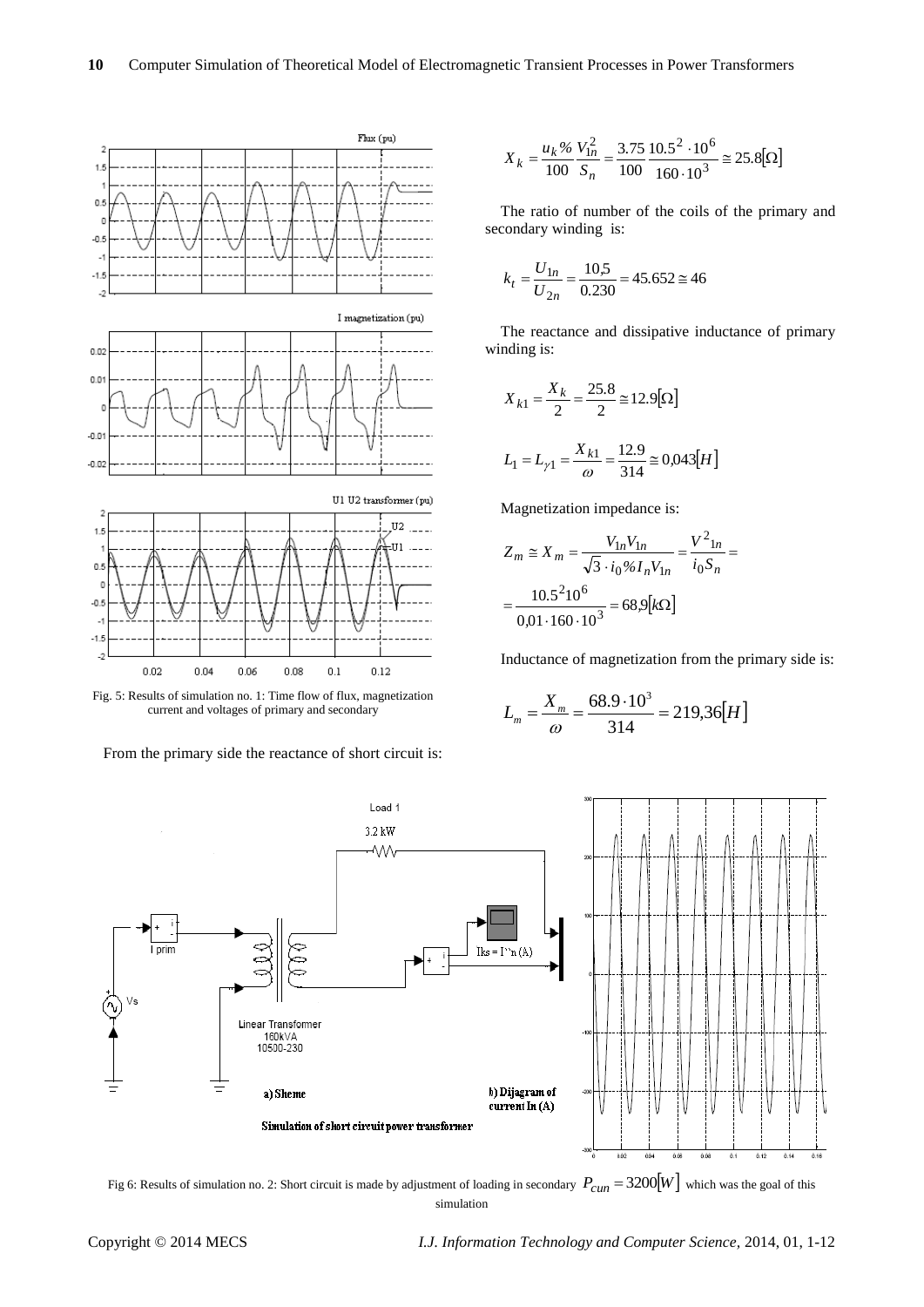



From the primary side the reactance of short circuit is:

$$
X_k = \frac{u_k\%}{100} \frac{V_{1n}^2}{S_n} = \frac{3.75}{100} \frac{10.5^2 \cdot 10^6}{160 \cdot 10^3} \approx 25.8 [\Omega]
$$

The ratio of number of the coils of the primary and secondary winding is:

$$
k_t = \frac{U_{1n}}{U_{2n}} = \frac{10,5}{0.230} = 45.652 \approx 46
$$

The reactance and dissipative inductance of primary winding is:

$$
X_{k1} = \frac{X_k}{2} = \frac{25.8}{2} \approx 12.9 [\Omega]
$$

$$
L_1 = L_{\gamma 1} = \frac{X_{k1}}{\omega} = \frac{12.9}{314} \approx 0.043[H]
$$

Magnetization impedance is:

$$
Z_m \cong X_m = \frac{V_{1n}V_{1n}}{\sqrt{3} \cdot i_0\% I_n V_{1n}} = \frac{V^2_{1n}}{i_0 S_n} = \frac{10.5^2 10^6}{0.01 \cdot 160 \cdot 10^3} = 68.9 [k\Omega]
$$

Inductance of magnetization from the primary side is:

$$
L_m = \frac{X_m}{\omega} = \frac{68.9 \cdot 10^3}{314} = 219,36[H]
$$



Fig 6: Results of simulation no. 2: Short circuit is made by adjustment of loading in secondary  $P_{cum} = 3200[W]$  which was the goal of this simulation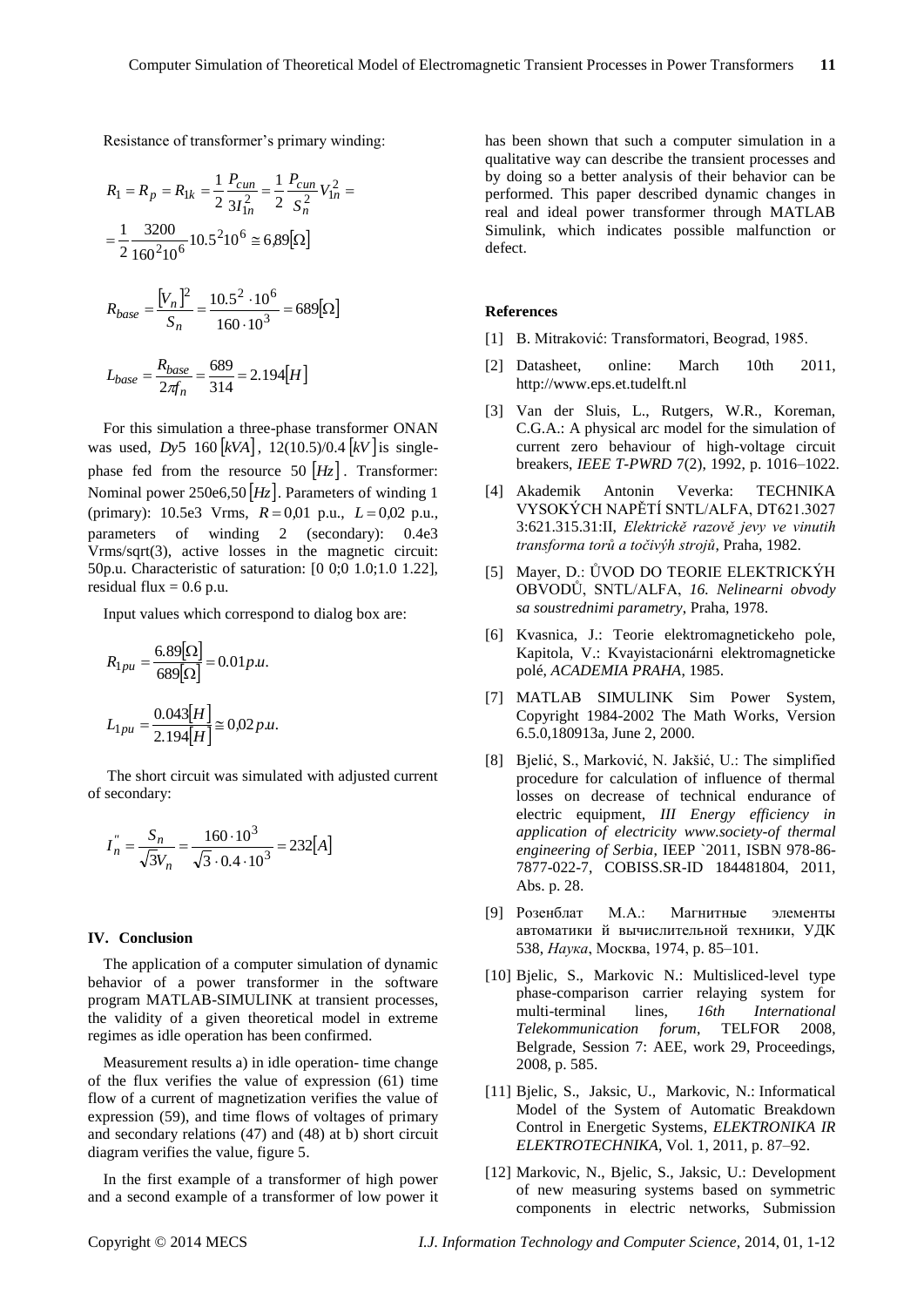Resistance of transformer's primary winding:

$$
R_1 = R_p = R_{1k} = \frac{1}{2} \frac{P_{cum}}{3I_{1n}^2} = \frac{1}{2} \frac{P_{cum}}{S_n^2} V_{1n}^2 =
$$

$$
= \frac{1}{2} \frac{3200}{160^2 10^6} 10.5^2 10^6 \approx 6.89 [\Omega]
$$

$$
R_{base} = \frac{[V_n]^2}{S_n} = \frac{10.5^2 \cdot 10^6}{160 \cdot 10^3} = 689 [\Omega]
$$

$$
L_{base} = \frac{R_{base}}{2\pi f_n} = \frac{689}{314} = 2.194[H]
$$

For this simulation a three-phase transformer ONAN was used, *Dy*5 160 *kVA* , 12(10.5)/0.4 *kV* is singlephase fed from the resource  $50$   $\left|H_z\right|$ . Transformer: Nominal power 250e6,50 *Hz* . Parameters of winding 1 (primary):  $10.5e3$  Vrms,  $R = 0.01$  p.u.,  $L = 0.02$  p.u., parameters of winding 2 (secondary): 0.4e3 Vrms/sqrt(3), active losses in the magnetic circuit: 50p.u. Characteristic of saturation: [0 0;0 1.0;1.0 1.22], residual flux  $= 0.6$  p.u.

Input values which correspond to dialog box are:

$$
R_{1pu} = \frac{6.89[\Omega]}{689[\Omega]} = 0.01 p.u.
$$
  

$$
L_{1pu} = \frac{0.043[H]}{2.194[H]} \approx 0.02 p.u.
$$

The short circuit was simulated with adjusted current of secondary:

$$
I_n^{"} = \frac{S_n}{\sqrt{3}V_n} = \frac{160 \cdot 10^3}{\sqrt{3} \cdot 0.4 \cdot 10^3} = 232[A]
$$

#### **IV. Conclusion**

The application of a computer simulation of dynamic behavior of a power transformer in the software program MATLAB-SIMULINK at transient processes, the validity of a given theoretical model in extreme regimes as idle operation has been confirmed.

Measurement results a) in idle operation- time change of the flux verifies the value of expression (61) time flow of a current of magnetization verifies the value of expression (59), and time flows of voltages of primary and secondary relations (47) and (48) at b) short circuit diagram verifies the value, figure 5.

In the first example of a transformer of high power and a second example of a transformer of low power it has been shown that such a computer simulation in a qualitative way can describe the transient processes and by doing so a better analysis of their behavior can be performed. This paper described dynamic changes in real and ideal power transformer through MATLAB Simulink, which indicates possible malfunction or defect.

#### **References**

- [1] B. Mitraković: Transformatori, Beograd, 1985.
- [2] Datasheet, online: March 10th 2011, [http://www.eps.et.tudelft.nl](http://eps.et.tudelft.nl/)
- [3] Van der Sluis, L., Rutgers, W.R., Koreman, C.G.A.: A physical arc model for the simulation of current zero behaviour of high-voltage circuit breakers, *IEEE T-PWRD* 7(2), 1992, p. 1016–1022.
- [4] Akademik Antonin Veverka: TECHNIKA VYSOKÝCH NAPĚTÍ SNTL/ALFA, DT621.3027 3:621.315.31:II, *Elektrickě razově jevy ve vinutih transforma torů a točivýh strojů*, Praha, 1982.
- [5] Mayer, D.: ŮVOD DO TEORIE ELEKTRICKÝH OBVODŮ, SNTL/ALFA, *16. Nelinearni obvody sa soustrednimi parametry*, Praha, 1978.
- [6] Kvasnica, J.: Teorie elektromagnetickeho pole, Kapitola, V.: Kvayistacionárni elektromagneticke polé, *ACADEMIA PRAHA*, 1985.
- [7] MATLAB SIMULINK Sim Power System, Copyright 1984-2002 The Math Works, Version 6.5.0,180913a, June 2, 2000.
- [8] Bjelić, S., Marković, N. Jakšić, U.: The simplified procedure for calculation of influence of thermal losses on decrease of technical endurance of electric equipment, *III Energy efficiency in application of electricity [www.society-of](http://www.society-of/) thermal engineering of Serbia*, IEEP `2011, ISBN 978-86- 7877-022-7, COBISS.SR-ID 184481804, 2011, Abs. p. 28.
- [9] Розенблат М.А.: Магнитные элементы автоматики й вычислительной техники, УДК 538, *Наука*, Москва, 1974, p. 85–101.
- [10] Bjelic, S., Markovic N.: Multisliced-level type phase-comparison carrier relaying system for multi-terminal lines, *16th International Telekommunication forum*, TELFOR 2008, Belgrade, Session 7: AEE, work 29, Proceedings, 2008, p. 585.
- [11] [Bjelic, S.,](http://kobson.nb.rs/nauka_u_srbiji.132.html?autor=Bjelic%20Slobodan) [Jaksic, U.,](http://kobson.nb.rs/nauka_u_srbiji.132.html?autor=Jaksic%20Uros) [Markovic, N.:](http://kobson.nb.rs/nauka_u_srbiji.132.html?autor=Markovic%20Nenad) Informatical Model of the System of Automatic Breakdown Control in Energetic Systems, *ELEKTRONIKA IR ELEKTROTECHNIKA*, Vol. 1, 2011, p. 87–92.
- [12] Markovic, N., Bjelic, S., Jaksic, U.: Development of new measuring systems based on symmetric components in electric networks, Submission